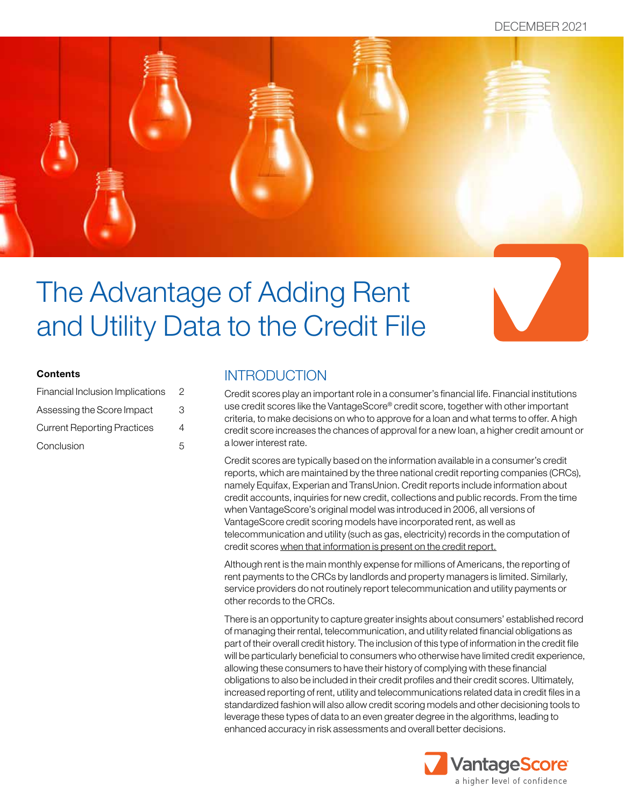

# The Advantage of Adding Rent and Utility Data to the Credit File

#### **Contents**

| Financial Inclusion Implications   | 2 |
|------------------------------------|---|
| Assessing the Score Impact         | З |
| <b>Current Reporting Practices</b> | 4 |
| Conclusion                         | 5 |

## **INTRODUCTION**

Credit scores play an important role in a consumer's financial life. Financial institutions use credit scores like the VantageScore® credit score, together with other important criteria, to make decisions on who to approve for a loan and what terms to offer. A high credit score increases the chances of approval for a new loan, a higher credit amount or a lower interest rate.

Credit scores are typically based on the information available in a consumer's credit reports, which are maintained by the three national credit reporting companies (CRCs), namely Equifax, Experian and TransUnion. Credit reports include information about credit accounts, inquiries for new credit, collections and public records. From the time when VantageScore's original model was introduced in 2006, all versions of VantageScore credit scoring models have incorporated rent, as well as telecommunication and utility (such as gas, electricity) records in the computation of credit scores when that information is present on the credit report.

Although rent is the main monthly expense for millions of Americans, the reporting of rent payments to the CRCs by landlords and property managers is limited. Similarly, service providers do not routinely report telecommunication and utility payments or other records to the CRCs.

There is an opportunity to capture greater insights about consumers' established record of managing their rental, telecommunication, and utility related financial obligations as part of their overall credit history. The inclusion of this type of information in the credit file will be particularly beneficial to consumers who otherwise have limited credit experience, allowing these consumers to have their history of complying with these financial obligations to also be included in their credit profiles and their credit scores. Ultimately, increased reporting of rent, utility and telecommunications related data in credit files in a standardized fashion will also allow credit scoring models and other decisioning tools to leverage these types of data to an even greater degree in the algorithms, leading to enhanced accuracy in risk assessments and overall better decisions.

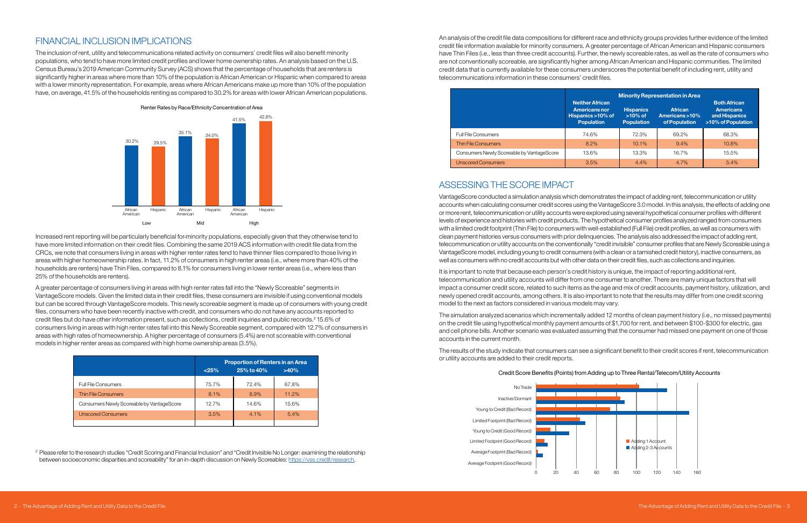# FINANCIAL INCLUSION IMPLICATIONS

The inclusion of rent, utility and telecommunications related activity on consumers' credit files will also benefit minority populations, who tend to have more limited credit profiles and lower home ownership rates. An analysis based on the U.S. Census Bureau's 2019 American Community Survey (ACS) shows that the percentage of households that are renters is significantly higher in areas where more than 10% of the population is African American or Hispanic when compared to areas with a lower minority representation. For example, areas where African Americans make up more than 10% of the population have, on average, 41.5% of the households renting as compared to 30.2% for areas with lower African American populations.

Increased rent reporting will be particularly beneficial for minority populations, especially given that they otherwise tend to have more limited information on their credit files. Combining the same 2019 ACS information with credit file data from the CRCs, we note that consumers living in areas with higher renter rates tend to have thinner files compared to those living in areas with higher homeownership rates. In fact, 11.2% of consumers in high renter areas (i.e., where more than 40% of the households are renters) have Thin Files, compared to 8.1% for consumers living in lower renter areas (i.e., where less than 25% of the households are renters).

A greater percentage of consumers living in areas with high renter rates fall into the "Newly Scoreable" segments in VantageScore models. Given the limited data in their credit files, these consumers are invisible if using conventional models but can be scored through VantageScore models. This newly scoreable segment is made up of consumers with young credit files, consumers who have been recently inactive with credit, and consumers who do not have any accounts reported to credit files but do have other information present, such as collections, credit inquiries and public records.<sup>2</sup> 15.6% of consumers living in areas with high renter rates fall into this Newly Scoreable segment, compared with 12.7% of consumers in areas with high rates of homeownership. A higher percentage of consumers (5.4%) are not scoreable with conventional models in higher renter areas as compared with high home ownership areas (3.5%).

It is important to note that because each person's credit history is unique, the impact of reporting additional rent, telecommunication and utility accounts will differ from one consumer to another. There are many unique factors that will impact a consumer credit score, related to such items as the age and mix of credit accounts, payment history, utilization, and newly opened credit accounts, among others. It is also important to note that the results may differ from one credit scoring model to the next as factors considered in various models may vary.

An analysis of the credit file data compositions for different race and ethnicity groups provides further evidence of the limited credit file information available for minority consumers. A greater percentage of African American and Hispanic consumers have Thin Files (i.e., less than three credit accounts). Further, the newly scoreable rates, as well as the rate of consumers who are not conventionally scoreable, are significantly higher among African American and Hispanic communities. The limited credit data that is currently available for these consumers underscores the potential benefit of including rent, utility and telecommunications information in these consumers' credit files.

# ASSESSING THE SCORE IMPACT

VantageScore conducted a simulation analysis which demonstrates the impact of adding rent, telecommunication or utility accounts when calculating consumer credit scores using the VantageScore 3.0 model. In this analysis, the effects of adding one or more rent, telecommunication or utility accounts were explored using several hypothetical consumer profiles with different levels of experience and histories with credit products. The hypothetical consumer profiles analyzed ranged from consumers with a limited credit footprint (Thin File) to consumers with well-established (Full File) credit profiles, as well as consumers with clean payment histories versus consumers with prior delinquencies. The analysis also addressed the impact of adding rent, telecommunication or utility accounts on the conventionally "credit invisible" consumer profiles that are Newly Scoreable using a VantageScore model, including young to credit consumers (with a clean or a tarnished credit history), inactive consumers, as well as consumers with no credit accounts but with other data on their credit files, such as collections and inquiries.

The simulation analyzed scenarios which incrementally added 12 months of clean payment history (i.e., no missed payments) on the credit file using hypothetical monthly payment amounts of \$1,700 for rent, and between \$100-\$300 for electric, gas and cell phone bills. Another scenario was evaluated assuming that the consumer had missed one payment on one of those accounts in the current month.

The results of the study indicate that consumers can see a significant benefit to their credit scores if rent, telecommunication or utility accounts are added to their credit reports.



|                                           | <b>Proportion of Renters in an Area</b><br>25% to 40%<br>>40%<br>< 25% |       |       |
|-------------------------------------------|------------------------------------------------------------------------|-------|-------|
| <b>Full File Consumers</b>                | 75.7%                                                                  | 72.4% | 67.8% |
| <b>Thin File Consumers</b>                | 8.1%                                                                   | 8.9%  | 11.2% |
| Consumers Newly Scoreable by VantageScore | 12.7%                                                                  | 14.6% | 15.6% |
| <b>Unscored Consumers</b>                 | 3.5%                                                                   | 4.1%  | 5.4%  |
|                                           |                                                                        |       |       |

<sup>2</sup> Please refer to the research studies "Credit Scoring and Financial Inclusion" and "Credit Invisible No Longer: examining the relationship between socioeconomic disparities and scoreability" for an in-depth discussion on Newly Scoreables: [https://vss.credit/research.](https://vss.credit/research)

|                                           | <b>Minority Representation in Area</b>                                                   |                                                     |                                                   |                                                                                |
|-------------------------------------------|------------------------------------------------------------------------------------------|-----------------------------------------------------|---------------------------------------------------|--------------------------------------------------------------------------------|
|                                           | <b>Neither African</b><br><b>Americans nor</b><br>Hispanics >10% of<br><b>Population</b> | <b>Hispanics</b><br>$>10\%$ of<br><b>Population</b> | <b>African</b><br>Americans >10%<br>of Population | <b>Both African</b><br><b>Americans</b><br>and Hispanics<br>>10% of Population |
| <b>Full File Consumers</b>                | 74.6%                                                                                    | 72.3%                                               | 69.2%                                             | 68.3%                                                                          |
| <b>Thin File Consumers</b>                | 8.2%                                                                                     | 10.1%                                               | 9.4%                                              | 10.8%                                                                          |
| Consumers Newly Scoreable by VantageScore | 13.6%                                                                                    | 13.3%                                               | 16.7%                                             | 15.5%                                                                          |
| <b>Unscored Consumers</b>                 | 3.5%                                                                                     | 4.4%                                                | 4.7%                                              | 5.4%                                                                           |

### Credit Score Benefits (Points) from Adding up to Three Rental/Telecom/Utility Accounts